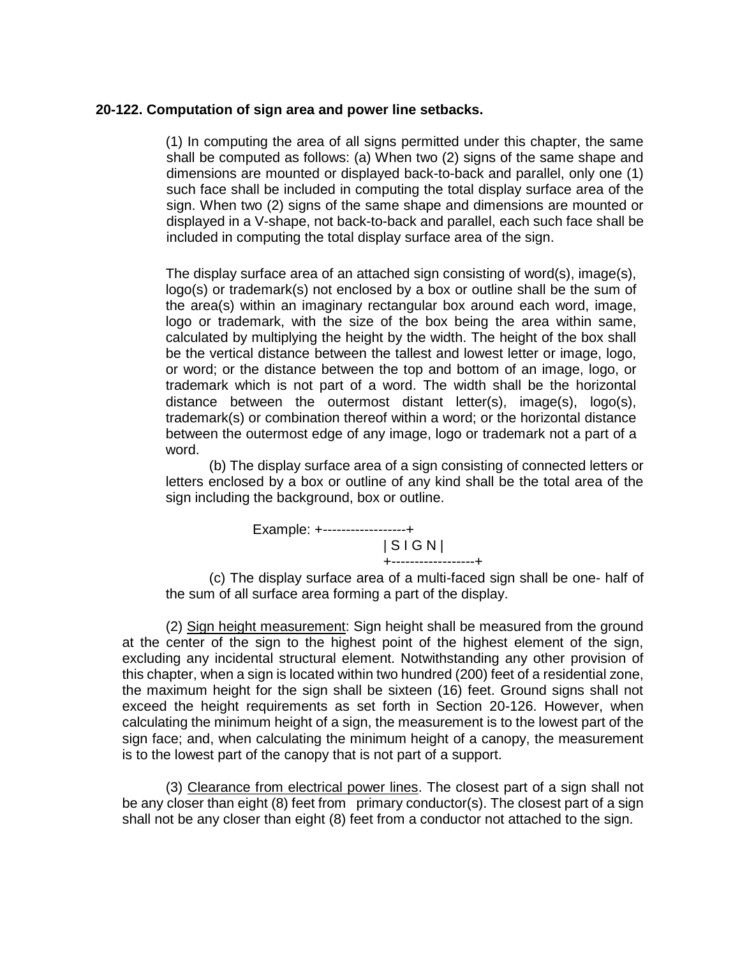## **20-122. Computation of sign area and power line setbacks.**

(1) In computing the area of all signs permitted under this chapter, the same shall be computed as follows: (a) When two (2) signs of the same shape and dimensions are mounted or displayed back-to-back and parallel, only one (1) such face shall be included in computing the total display surface area of the sign. When two (2) signs of the same shape and dimensions are mounted or displayed in a V-shape, not back-to-back and parallel, each such face shall be included in computing the total display surface area of the sign.

The display surface area of an attached sign consisting of word(s), image(s), logo(s) or trademark(s) not enclosed by a box or outline shall be the sum of the area(s) within an imaginary rectangular box around each word, image, logo or trademark, with the size of the box being the area within same, calculated by multiplying the height by the width. The height of the box shall be the vertical distance between the tallest and lowest letter or image, logo, or word; or the distance between the top and bottom of an image, logo, or trademark which is not part of a word. The width shall be the horizontal distance between the outermost distant letter(s), image(s), logo(s), trademark(s) or combination thereof within a word; or the horizontal distance between the outermost edge of any image, logo or trademark not a part of a word.

(b) The display surface area of a sign consisting of connected letters or letters enclosed by a box or outline of any kind shall be the total area of the sign including the background, box or outline.



(c) The display surface area of a multi-faced sign shall be one- half of the sum of all surface area forming a part of the display.

(2) Sign height measurement: Sign height shall be measured from the ground at the center of the sign to the highest point of the highest element of the sign, excluding any incidental structural element. Notwithstanding any other provision of this chapter, when a sign is located within two hundred (200) feet of a residential zone, the maximum height for the sign shall be sixteen (16) feet. Ground signs shall not exceed the height requirements as set forth in Section 20-126. However, when calculating the minimum height of a sign, the measurement is to the lowest part of the sign face; and, when calculating the minimum height of a canopy, the measurement is to the lowest part of the canopy that is not part of a support.

(3) Clearance from electrical power lines. The closest part of a sign shall not be any closer than eight (8) feet from primary conductor(s). The closest part of a sign shall not be any closer than eight (8) feet from a conductor not attached to the sign.